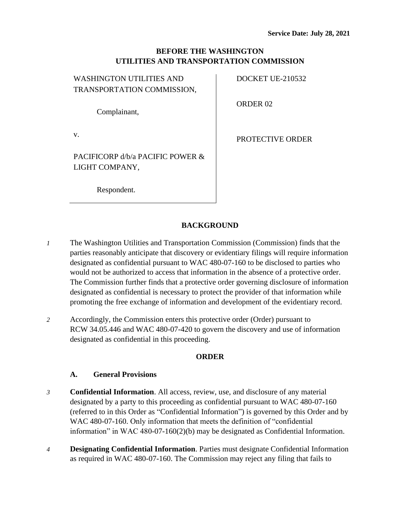### **BEFORE THE WASHINGTON UTILITIES AND TRANSPORTATION COMMISSION**

| <b>WASHINGTON UTILITIES AND</b> |  |
|---------------------------------|--|
| TRANSPORTATION COMMISSION,      |  |
|                                 |  |

DOCKET UE-210532

ORDER 02

v.

PROTECTIVE ORDER

PACIFICORP d/b/a PACIFIC POWER & LIGHT COMPANY,

Respondent.

Complainant,

# **BACKGROUND**

- *1* The Washington Utilities and Transportation Commission (Commission) finds that the parties reasonably anticipate that discovery or evidentiary filings will require information designated as confidential pursuant to WAC 480-07-160 to be disclosed to parties who would not be authorized to access that information in the absence of a protective order. The Commission further finds that a protective order governing disclosure of information designated as confidential is necessary to protect the provider of that information while promoting the free exchange of information and development of the evidentiary record.
- *2* Accordingly, the Commission enters this protective order (Order) pursuant to RCW 34.05.446 and WAC 480-07-420 to govern the discovery and use of information designated as confidential in this proceeding.

### **ORDER**

### **A. General Provisions**

- *3* **Confidential Information**. All access, review, use, and disclosure of any material designated by a party to this proceeding as confidential pursuant to WAC 480-07-160 (referred to in this Order as "Confidential Information") is governed by this Order and by WAC 480-07-160. Only information that meets the definition of "confidential information" in WAC 480-07-160(2)(b) may be designated as Confidential Information.
- *4* **Designating Confidential Information**. Parties must designate Confidential Information as required in WAC 480-07-160. The Commission may reject any filing that fails to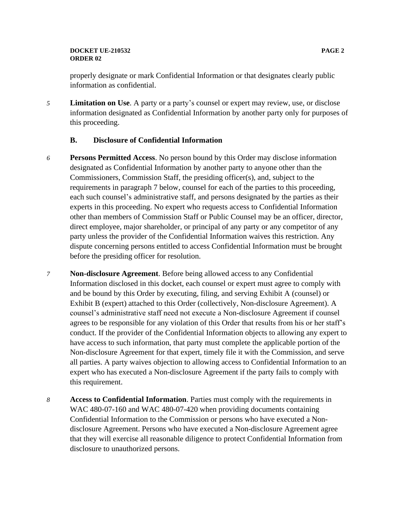#### **DOCKET UE-210532 PAGE 2 ORDER 02**

properly designate or mark Confidential Information or that designates clearly public information as confidential.

*5* **Limitation on Use**. A party or a party's counsel or expert may review, use, or disclose information designated as Confidential Information by another party only for purposes of this proceeding.

### **B. Disclosure of Confidential Information**

- *6* **Persons Permitted Access**. No person bound by this Order may disclose information designated as Confidential Information by another party to anyone other than the Commissioners, Commission Staff, the presiding officer(s), and, subject to the requirements in paragraph 7 below, counsel for each of the parties to this proceeding, each such counsel's administrative staff, and persons designated by the parties as their experts in this proceeding. No expert who requests access to Confidential Information other than members of Commission Staff or Public Counsel may be an officer, director, direct employee, major shareholder, or principal of any party or any competitor of any party unless the provider of the Confidential Information waives this restriction. Any dispute concerning persons entitled to access Confidential Information must be brought before the presiding officer for resolution.
- *7* **Non-disclosure Agreement**. Before being allowed access to any Confidential Information disclosed in this docket, each counsel or expert must agree to comply with and be bound by this Order by executing, filing, and serving Exhibit A (counsel) or Exhibit B (expert) attached to this Order (collectively, Non-disclosure Agreement). A counsel's administrative staff need not execute a Non-disclosure Agreement if counsel agrees to be responsible for any violation of this Order that results from his or her staff's conduct. If the provider of the Confidential Information objects to allowing any expert to have access to such information, that party must complete the applicable portion of the Non-disclosure Agreement for that expert, timely file it with the Commission, and serve all parties. A party waives objection to allowing access to Confidential Information to an expert who has executed a Non-disclosure Agreement if the party fails to comply with this requirement.
- *8* **Access to Confidential Information**. Parties must comply with the requirements in WAC 480-07-160 and WAC 480-07-420 when providing documents containing Confidential Information to the Commission or persons who have executed a Nondisclosure Agreement. Persons who have executed a Non-disclosure Agreement agree that they will exercise all reasonable diligence to protect Confidential Information from disclosure to unauthorized persons.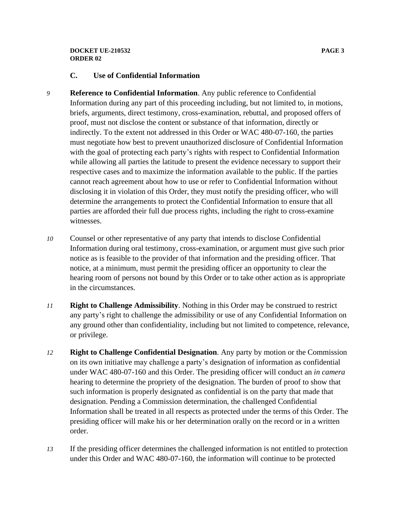#### **DOCKET UE-210532 PAGE 3 ORDER 02**

### **C. Use of Confidential Information**

- *9* **Reference to Confidential Information**. Any public reference to Confidential Information during any part of this proceeding including, but not limited to, in motions, briefs, arguments, direct testimony, cross-examination, rebuttal, and proposed offers of proof, must not disclose the content or substance of that information, directly or indirectly. To the extent not addressed in this Order or WAC 480-07-160, the parties must negotiate how best to prevent unauthorized disclosure of Confidential Information with the goal of protecting each party's rights with respect to Confidential Information while allowing all parties the latitude to present the evidence necessary to support their respective cases and to maximize the information available to the public. If the parties cannot reach agreement about how to use or refer to Confidential Information without disclosing it in violation of this Order, they must notify the presiding officer, who will determine the arrangements to protect the Confidential Information to ensure that all parties are afforded their full due process rights, including the right to cross-examine witnesses.
- *10* Counsel or other representative of any party that intends to disclose Confidential Information during oral testimony, cross-examination, or argument must give such prior notice as is feasible to the provider of that information and the presiding officer. That notice, at a minimum, must permit the presiding officer an opportunity to clear the hearing room of persons not bound by this Order or to take other action as is appropriate in the circumstances.
- *11* **Right to Challenge Admissibility**. Nothing in this Order may be construed to restrict any party's right to challenge the admissibility or use of any Confidential Information on any ground other than confidentiality, including but not limited to competence, relevance, or privilege.
- *12* **Right to Challenge Confidential Designation**. Any party by motion or the Commission on its own initiative may challenge a party's designation of information as confidential under WAC 480-07-160 and this Order. The presiding officer will conduct an *in camera* hearing to determine the propriety of the designation. The burden of proof to show that such information is properly designated as confidential is on the party that made that designation. Pending a Commission determination, the challenged Confidential Information shall be treated in all respects as protected under the terms of this Order. The presiding officer will make his or her determination orally on the record or in a written order.
- *13* If the presiding officer determines the challenged information is not entitled to protection under this Order and WAC 480-07-160, the information will continue to be protected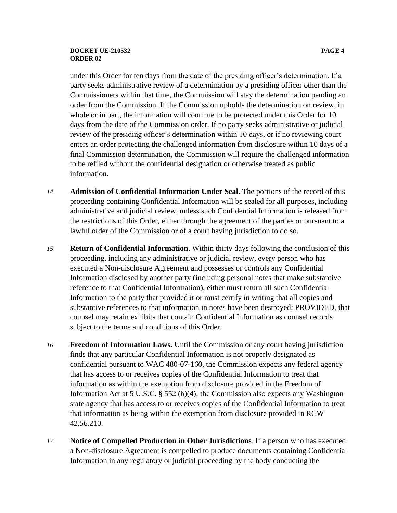#### **DOCKET UE-210532 PAGE 4 ORDER 02**

under this Order for ten days from the date of the presiding officer's determination. If a party seeks administrative review of a determination by a presiding officer other than the Commissioners within that time, the Commission will stay the determination pending an order from the Commission. If the Commission upholds the determination on review, in whole or in part, the information will continue to be protected under this Order for 10 days from the date of the Commission order. If no party seeks administrative or judicial review of the presiding officer's determination within 10 days, or if no reviewing court enters an order protecting the challenged information from disclosure within 10 days of a final Commission determination, the Commission will require the challenged information to be refiled without the confidential designation or otherwise treated as public information.

- *14* **Admission of Confidential Information Under Seal**. The portions of the record of this proceeding containing Confidential Information will be sealed for all purposes, including administrative and judicial review, unless such Confidential Information is released from the restrictions of this Order, either through the agreement of the parties or pursuant to a lawful order of the Commission or of a court having jurisdiction to do so.
- *15* **Return of Confidential Information**. Within thirty days following the conclusion of this proceeding, including any administrative or judicial review, every person who has executed a Non-disclosure Agreement and possesses or controls any Confidential Information disclosed by another party (including personal notes that make substantive reference to that Confidential Information), either must return all such Confidential Information to the party that provided it or must certify in writing that all copies and substantive references to that information in notes have been destroyed; PROVIDED, that counsel may retain exhibits that contain Confidential Information as counsel records subject to the terms and conditions of this Order.
- *16* **Freedom of Information Laws**. Until the Commission or any court having jurisdiction finds that any particular Confidential Information is not properly designated as confidential pursuant to WAC 480-07-160, the Commission expects any federal agency that has access to or receives copies of the Confidential Information to treat that information as within the exemption from disclosure provided in the Freedom of Information Act at 5 U.S.C. § 552 (b)(4); the Commission also expects any Washington state agency that has access to or receives copies of the Confidential Information to treat that information as being within the exemption from disclosure provided in RCW 42.56.210.
- *17* **Notice of Compelled Production in Other Jurisdictions**. If a person who has executed a Non-disclosure Agreement is compelled to produce documents containing Confidential Information in any regulatory or judicial proceeding by the body conducting the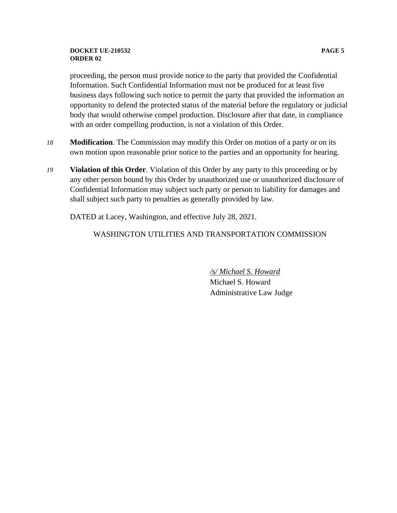#### **DOCKET UE-210532 PAGE 5 ORDER 02**

proceeding, the person must provide notice to the party that provided the Confidential Information. Such Confidential Information must not be produced for at least five business days following such notice to permit the party that provided the information an opportunity to defend the protected status of the material before the regulatory or judicial body that would otherwise compel production. Disclosure after that date, in compliance with an order compelling production, is not a violation of this Order.

- *18* **Modification**. The Commission may modify this Order on motion of a party or on its own motion upon reasonable prior notice to the parties and an opportunity for hearing.
- *19* **Violation of this Order**. Violation of this Order by any party to this proceeding or by any other person bound by this Order by unauthorized use or unauthorized disclosure of Confidential Information may subject such party or person to liability for damages and shall subject such party to penalties as generally provided by law.

DATED at Lacey, Washington, and effective July 28, 2021.

### WASHINGTON UTILITIES AND TRANSPORTATION COMMISSION

*/s/ Michael S. Howard* Michael S. Howard Administrative Law Judge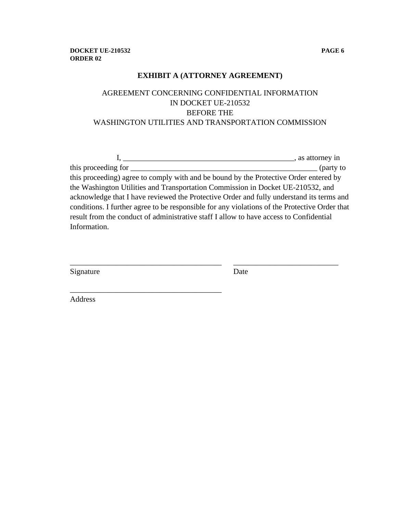### **EXHIBIT A (ATTORNEY AGREEMENT)**

## AGREEMENT CONCERNING CONFIDENTIAL INFORMATION IN DOCKET UE-210532 BEFORE THE WASHINGTON UTILITIES AND TRANSPORTATION COMMISSION

|                                                                                               | , as attorney in |
|-----------------------------------------------------------------------------------------------|------------------|
| this proceeding for                                                                           | $($ party to     |
| this proceeding) agree to comply with and be bound by the Protective Order entered by         |                  |
| the Washington Utilities and Transportation Commission in Docket UE-210532, and               |                  |
| acknowledge that I have reviewed the Protective Order and fully understand its terms and      |                  |
| conditions. I further agree to be responsible for any violations of the Protective Order that |                  |
| result from the conduct of administrative staff I allow to have access to Confidential        |                  |
| Information.                                                                                  |                  |
|                                                                                               |                  |

\_\_\_\_\_\_\_\_\_\_\_\_\_\_\_\_\_\_\_\_\_\_\_\_\_\_\_\_\_\_\_\_\_\_\_\_\_\_\_ \_\_\_\_\_\_\_\_\_\_\_\_\_\_\_\_\_\_\_\_\_\_\_\_\_\_\_

| Signature | Date |
|-----------|------|
|           |      |

\_\_\_\_\_\_\_\_\_\_\_\_\_\_\_\_\_\_\_\_\_\_\_\_\_\_\_\_\_\_\_\_\_\_\_\_\_\_\_

Address